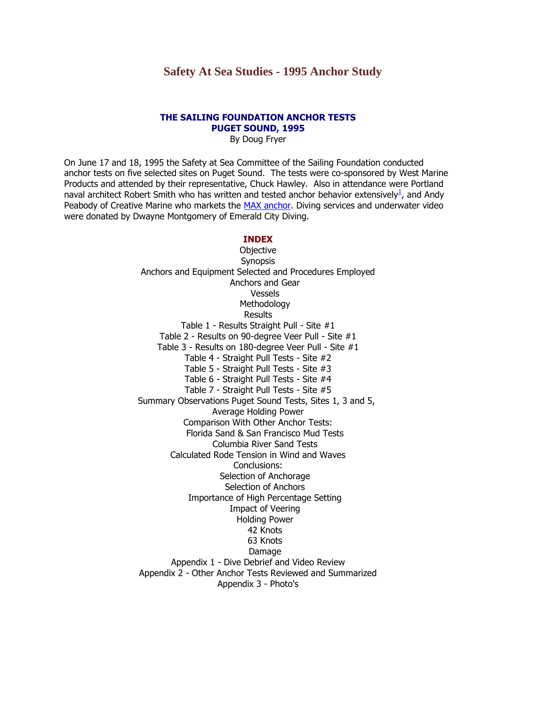# **Safety At Sea Studies - 1995 Anchor Study**

#### **THE SAILING FOUNDATION ANCHOR TESTS PUGET SOUND, 1995**

By Doug Fryer

On June 17 and 18, 1995 the Safety at Sea Committee of the Sailing Foundation conducted anchor tests on five selected sites on Puget Sound. The tests were co-sponsored by West Marine Products and attended by their representative, Chuck Hawley. Also in attendance were Portland naval architect Robert Smith who has written and tested anchor behavior extensively<sup>1</sup>[,](http://www.ussailing.org/Safety/Anchor/footnotetoapp.asp#numbero uno) and Andy Peabody of Creative Marine who markets the [MAX anchor.](http://www.ussailing.org/Safety/Anchor/appendix_3.asp#MAX 17) Diving services and underwater video were donated by Dwayne Montgomery of Emerald City Diving.

### **INDEX**

**Objective** Synopsis Anchors and Equipment Selected and Procedures Employed Anchors and Gear Vessels Methodology **Results** Table 1 - Results Straight Pull - Site #1 Table 2 - Results on 90-degree Veer Pull - Site #1 Table 3 - Results on 180-degree Veer Pull - Site #1 Table 4 - Straight Pull Tests - Site #2 Table 5 - Straight Pull Tests - Site #3 Table 6 - Straight Pull Tests - Site #4 Table 7 - Straight Pull Tests - Site #5 Summary Observations Puget Sound Tests, Sites 1, 3 and 5, Average Holding Power Comparison With Other Anchor Tests: Florida Sand & San Francisco Mud Tests Columbia River Sand Tests Calculated Rode Tension in Wind and Waves Conclusions: [Selection of Anchorage](http://www.ussailing.org/Safety/Anchor/conclusion.asp#Selection of anchorage) [Selection of Anchors](http://www.ussailing.org/Safety/Anchor/conclusion.asp#Selection of Anchors) [Importance of High Percentage Setting](http://www.ussailing.org/Safety/Anchor/conclusion.asp#Importance of High Percentage Setting) [Impact of Veering](http://www.ussailing.org/Safety/Anchor/conclusion.asp#Impact of Veering) Holding Power 42 Knots 63 Knots Damage Appendix 1 - Dive Debrief and Video Review Appendix 2 - Other Anchor Tests Reviewed and Summarized Appendix 3 - Photo's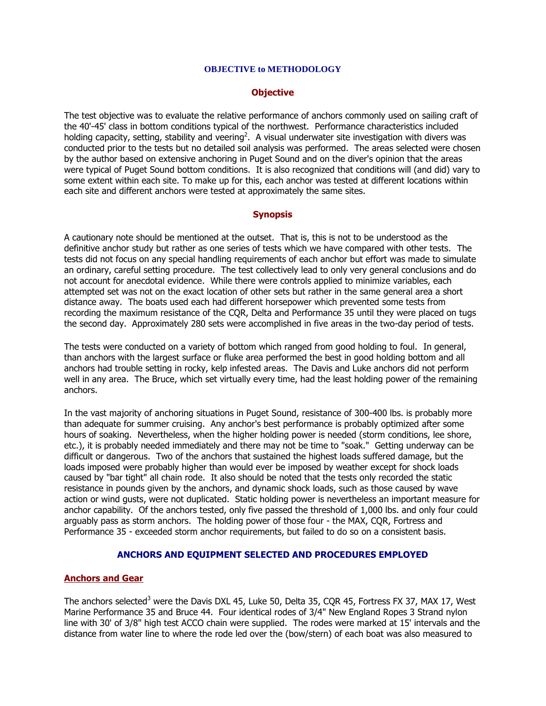#### **OBJECTIVE to METHODOLOGY**

### **Objective**

The test objective was to evaluate the relative performance of anchors commonly used on sailing craft of the 40'-45' class in bottom conditions typical of the northwest. Performance characteristics included holding capacity, setting, stability and veering<sup>2</sup>. A visual underwater site investigation with divers was conducted prior to the tests but no detailed soil analysis was performed. The areas selected were chosen by the author based on extensive anchoring in Puget Sound and on the diver's opinion that the areas were typical of Puget Sound bottom conditions. It is also recognized that conditions will (and did) vary to some extent within each site. To make up for this, each anchor was tested at different locations within each site and different anchors were tested at approximately the same sites.

## **Synopsis**

A cautionary note should be mentioned at the outset. That is, this is not to be understood as the definitive anchor study but rather as one series of tests which we have compared with other tests. The tests did not focus on any special handling requirements of each anchor but effort was made to simulate an ordinary, careful setting procedure. The test collectively lead to only very general conclusions and do not account for anecdotal evidence. While there were controls applied to minimize variables, each attempted set was not on the exact location of other sets but rather in the same general area a short distance away. The boats used each had different horsepower which prevented some tests from recording the maximum resistance of the CQR, Delta and Performance 35 until they were placed on tugs the second day. Approximately 280 sets were accomplished in five areas in the two-day period of tests.

The tests were conducted on a variety of bottom which ranged from good holding to foul. In general, than anchors with the largest surface or fluke area performed the best in good holding bottom and all anchors had trouble setting in rocky, kelp infested areas. The Davis and Luke anchors did not perform well in any area. The Bruce, which set virtually every time, had the least holding power of the remaining anchors.

In the vast majority of anchoring situations in Puget Sound, resistance of 300-400 lbs. is probably more than adequate for summer cruising. Any anchor's best performance is probably optimized after some hours of soaking. Nevertheless, when the higher holding power is needed (storm conditions, lee shore, etc.), it is probably needed immediately and there may not be time to "soak." Getting underway can be difficult or dangerous. Two of the anchors that sustained the highest loads suffered damage, but the loads imposed were probably higher than would ever be imposed by weather except for shock loads caused by "bar tight" all chain rode. It also should be noted that the tests only recorded the static resistance in pounds given by the anchors, and dynamic shock loads, such as those caused by wave action or wind gusts, were not duplicated. Static holding power is nevertheless an important measure for anchor capability. Of the anchors tested, only five passed the threshold of 1,000 lbs. and only four could arguably pass as storm anchors. The holding power of those four - the MAX, CQR, Fortress and Performance 35 - exceeded storm anchor requirements, but failed to do so on a consistent basis.

### **ANCHORS AND EQUIPMENT SELECTED AND PROCEDURES EMPLOYED**

# **Anchors and Gear**

The anchors selected<sup>3</sup> were the Davis DXL 45, Luke 50, Delta 35, COR 45, Fortress FX 37, MAX 17, West Marine Performance 35 and Bruce 44. Four identical rodes of 3/4" New England Ropes 3 Strand nylon line with 30' of 3/8" high test ACCO chain were supplied. The rodes were marked at 15' intervals and the distance from water line to where the rode led over the (bow/stern) of each boat was also measured to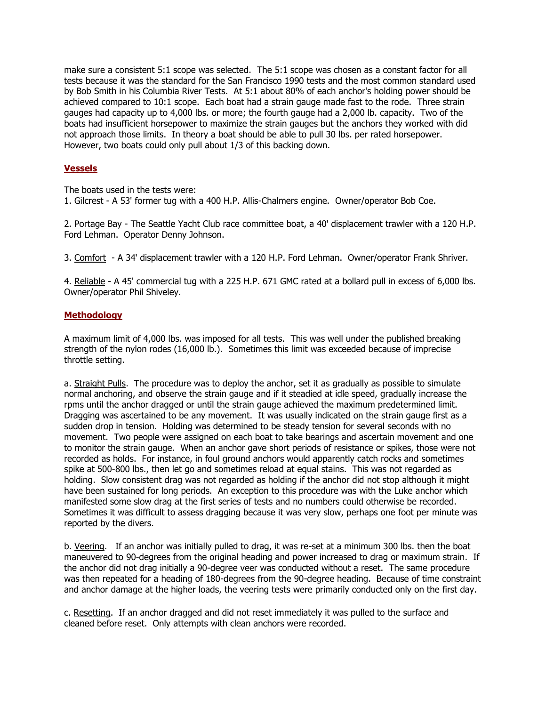make sure a consistent 5:1 scope was selected. The 5:1 scope was chosen as a constant factor for all tests because it was the standard for the San Francisco 1990 tests and the most common standard used by Bob Smith in his Columbia River Tests. At 5:1 about 80% of each anchor's holding power should be achieved compared to 10:1 scope. Each boat had a strain gauge made fast to the rode. Three strain gauges had capacity up to 4,000 lbs. or more; the fourth gauge had a 2,000 lb. capacity. Two of the boats had insufficient horsepower to maximize the strain gauges but the anchors they worked with did not approach those limits. In theory a boat should be able to pull 30 lbs. per rated horsepower. However, two boats could only pull about 1/3 of this backing down.

# **Vessels**

The boats used in the tests were:

1. Gilcrest - A 53' former tug with a 400 H.P. Allis-Chalmers engine. Owner/operator Bob Coe.

2. Portage Bay - The Seattle Yacht Club race committee boat, a 40' displacement trawler with a 120 H.P. Ford Lehman. Operator Denny Johnson.

3. Comfort - A 34' displacement trawler with a 120 H.P. Ford Lehman. Owner/operator Frank Shriver.

4. Reliable - A 45' commercial tug with a 225 H.P. 671 GMC rated at a bollard pull in excess of 6,000 lbs. Owner/operator Phil Shiveley.

# **Methodology**

A maximum limit of 4,000 lbs. was imposed for all tests. This was well under the published breaking strength of the nylon rodes (16,000 lb.). Sometimes this limit was exceeded because of imprecise throttle setting.

a. Straight Pulls. The procedure was to deploy the anchor, set it as gradually as possible to simulate normal anchoring, and observe the strain gauge and if it steadied at idle speed, gradually increase the rpms until the anchor dragged or until the strain gauge achieved the maximum predetermined limit. Dragging was ascertained to be any movement. It was usually indicated on the strain gauge first as a sudden drop in tension. Holding was determined to be steady tension for several seconds with no movement. Two people were assigned on each boat to take bearings and ascertain movement and one to monitor the strain gauge. When an anchor gave short periods of resistance or spikes, those were not recorded as holds. For instance, in foul ground anchors would apparently catch rocks and sometimes spike at 500-800 lbs., then let go and sometimes reload at equal stains. This was not regarded as holding. Slow consistent drag was not regarded as holding if the anchor did not stop although it might have been sustained for long periods. An exception to this procedure was with the Luke anchor which manifested some slow drag at the first series of tests and no numbers could otherwise be recorded. Sometimes it was difficult to assess dragging because it was very slow, perhaps one foot per minute was reported by the divers.

b. Veering. If an anchor was initially pulled to drag, it was re-set at a minimum 300 lbs. then the boat maneuvered to 90-degrees from the original heading and power increased to drag or maximum strain. If the anchor did not drag initially a 90-degree veer was conducted without a reset. The same procedure was then repeated for a heading of 180-degrees from the 90-degree heading. Because of time constraint and anchor damage at the higher loads, the veering tests were primarily conducted only on the first day.

c. Resetting. If an anchor dragged and did not reset immediately it was pulled to the surface and cleaned before reset. Only attempts with clean anchors were recorded.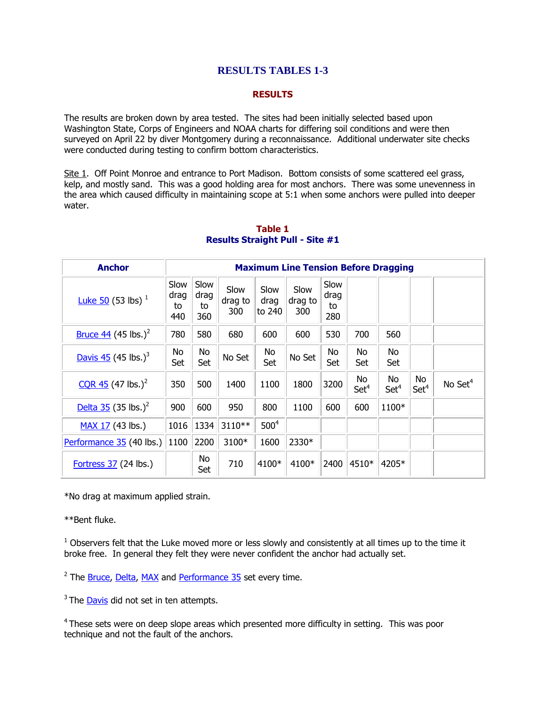# **RESULTS TABLES 1-3**

## **RESULTS**

The results are broken down by area tested. The sites had been initially selected based upon Washington State, Corps of Engineers and NOAA charts for differing soil conditions and were then surveyed on April 22 by diver Montgomery during a reconnaissance. Additional underwater site checks were conducted during testing to confirm bottom characteristics.

Site 1. Off Point Monroe and entrance to Port Madison. Bottom consists of some scattered eel grass, kelp, and mostly sand. This was a good holding area for most anchors. There was some unevenness in the area which caused difficulty in maintaining scope at 5:1 when some anchors were pulled into deeper water.

| <b>Anchor</b>                          |                           | <b>Maximum Line Tension Before Dragging</b> |                        |                        |                        |                           |                        |                        |                        |                     |  |
|----------------------------------------|---------------------------|---------------------------------------------|------------------------|------------------------|------------------------|---------------------------|------------------------|------------------------|------------------------|---------------------|--|
| <b>Luke 50 (53 lbs)</b> $^{1}$         | Slow<br>drag<br>to<br>440 | Slow<br>drag<br>to<br>360                   | Slow<br>drag to<br>300 | Slow<br>drag<br>to 240 | Slow<br>drag to<br>300 | Slow<br>drag<br>to<br>280 |                        |                        |                        |                     |  |
| <u>Bruce 44</u> (45 lbs.) <sup>2</sup> | 780                       | 580                                         | 680                    | 600                    | 600                    | 530                       | 700                    | 560                    |                        |                     |  |
| Davis $45$ (45 lbs.) <sup>3</sup>      | No<br>Set                 | No<br>Set                                   | No Set                 | No<br>Set              | No Set                 | No<br>Set                 | No<br>Set              | No.<br>Set             |                        |                     |  |
| $CQR$ 45 (47 lbs.) <sup>2</sup>        | 350                       | 500                                         | 1400                   | 1100                   | 1800                   | 3200                      | No<br>Set <sup>4</sup> | No<br>Set <sup>4</sup> | No<br>Set <sup>4</sup> | No Set <sup>4</sup> |  |
| Delta 35 (35 lbs.) <sup>2</sup>        | 900                       | 600                                         | 950                    | 800                    | 1100                   | 600                       | 600                    | 1100*                  |                        |                     |  |
| MAX 17 (43 lbs.)                       | 1016                      | 1334                                        | 3110**                 | 500 <sup>4</sup>       |                        |                           |                        |                        |                        |                     |  |
| Performance 35 (40 lbs.)               | 1100                      | 2200                                        | 3100*                  | 1600                   | 2330*                  |                           |                        |                        |                        |                     |  |
| Fortress $37$ (24 lbs.)                |                           | No<br>Set                                   | 710                    | 4100*                  | 4100*                  | 2400                      | 4510*                  | 4205*                  |                        |                     |  |

## **Table 1 Results Straight Pull - Site #1**

\*No drag at maximum applied strain.

\*\*Bent fluke.

 $1$  Observers felt that the Luke moved more or less slowly and consistently at all times up to the time it broke free. In general they felt they were never confident the anchor had actually set.

<sup>2</sup> The **Bruce, Delta, MAX** and Performance 35 set every time.

 $3$  The Davis did not set in ten attempts.

<sup>4</sup> These sets were on deep slope areas which presented more difficulty in setting. This was poor technique and not the fault of the anchors.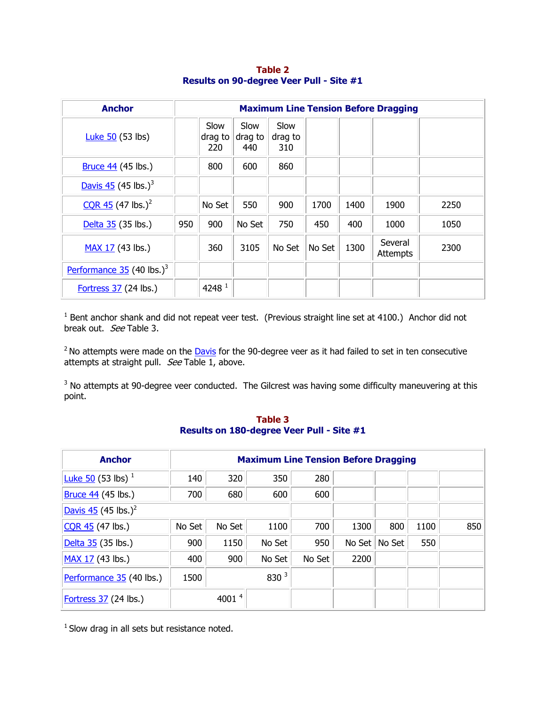| <b>Anchor</b>                           |     | <b>Maximum Line Tension Before Dragging</b> |                        |                        |        |      |                            |      |  |  |  |  |
|-----------------------------------------|-----|---------------------------------------------|------------------------|------------------------|--------|------|----------------------------|------|--|--|--|--|
| Luke $50$ (53 lbs)                      |     | Slow<br>drag to<br>220                      | Slow<br>drag to<br>440 | Slow<br>drag to<br>310 |        |      |                            |      |  |  |  |  |
| <b>Bruce 44 (45 lbs.)</b>               |     | 800                                         | 600                    | 860                    |        |      |                            |      |  |  |  |  |
| Davis $45$ (45 lbs.) <sup>3</sup>       |     |                                             |                        |                        |        |      |                            |      |  |  |  |  |
| CQR 45 (47 lbs.) <sup>2</sup>           |     | No Set                                      | 550                    | 900                    | 1700   | 1400 | 1900                       | 2250 |  |  |  |  |
| Delta 35 (35 lbs.)                      | 950 | 900                                         | No Set                 | 750                    | 450    | 400  | 1000                       | 1050 |  |  |  |  |
| MAX 17 (43 lbs.)                        |     | 360                                         | 3105                   | No Set                 | No Set | 1300 | Several<br><b>Attempts</b> | 2300 |  |  |  |  |
| Performance $35$ (40 lbs.) <sup>3</sup> |     |                                             |                        |                        |        |      |                            |      |  |  |  |  |
| Fortress $37$ (24 lbs.)                 |     | 4248 <sup>1</sup>                           |                        |                        |        |      |                            |      |  |  |  |  |

**Table 2 Results on 90-degree Veer Pull - Site #1**

 $<sup>1</sup>$  Bent anchor shank and did not repeat veer test. (Previous straight line set at 4100.) Anchor did not</sup> break out. See Table 3.

 $2$  No attempts were made on the  $\overline{$  Davis for the 90-degree veer as it had failed to set in ten consecutive attempts at straight pull. See Table 1, above.

 $3$  No attempts at 90-degree veer conducted. The Gilcrest was having some difficulty maneuvering at this point.

# **Table 3 Results on 180-degree Veer Pull - Site #1**

| <b>Anchor</b>                     |        | <b>Maximum Line Tension Before Dragging</b> |        |        |        |        |      |     |  |  |  |  |
|-----------------------------------|--------|---------------------------------------------|--------|--------|--------|--------|------|-----|--|--|--|--|
| <b>Luke 50</b> (53 lbs) $^{1}$    | 140    | 320                                         | 350    | 280    |        |        |      |     |  |  |  |  |
| <b>Bruce 44 (45 lbs.)</b>         | 700    | 680                                         | 600    | 600    |        |        |      |     |  |  |  |  |
| Davis $45$ (45 lbs.) <sup>2</sup> |        |                                             |        |        |        |        |      |     |  |  |  |  |
| CQR 45 (47 lbs.)                  | No Set | No Set                                      | 1100   | 700    | 1300   | 800    | 1100 | 850 |  |  |  |  |
| Delta 35 (35 lbs.)                | 900    | 1150                                        | No Set | 950    | No Set | No Set | 550  |     |  |  |  |  |
| MAX 17 (43 lbs.)                  | 400    | 900                                         | No Set | No Set | 2200   |        |      |     |  |  |  |  |
| Performance 35 (40 lbs.)          | 1500   |                                             | 830 3  |        |        |        |      |     |  |  |  |  |
| Fortress $37$ (24 lbs.)           |        | 4001 $4$                                    |        |        |        |        |      |     |  |  |  |  |

 $1$  Slow drag in all sets but resistance noted.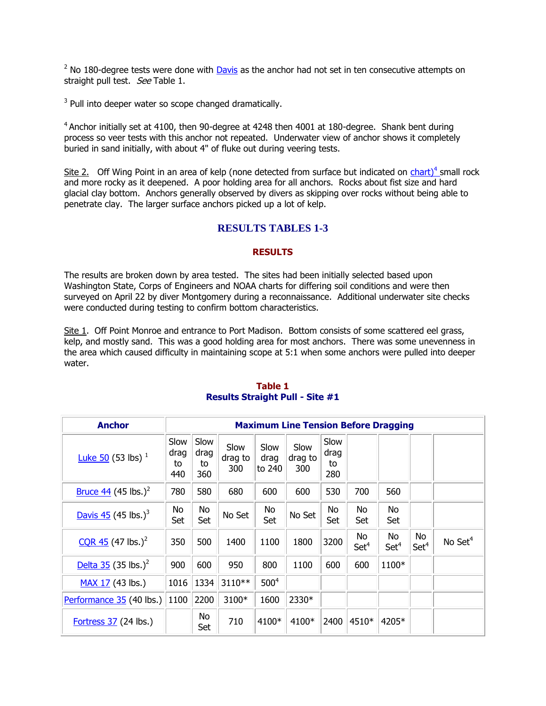$2$  No 180-degree tests were done with Davis as the anchor had not set in ten consecutive attempts on straight pull test. See Table 1.

 $3$  Pull into deeper water so scope changed dramatically.

 $4$  Anchor initially set at 4100, then 90-degree at 4248 then 4001 at 180-degree. Shank bent during process so veer tests with this anchor not repeated. Underwater view of anchor shows it completely buried in sand initially, with about 4" of fluke out during veering tests.

Site 2. Off Wing Point in an area of kelp (none detected from surface but indicated on chart)<sup>4</sup> small rock and more rocky as it deepened. A poor holding area for all anchors. Rocks about fist size and hard glacial clay bottom. Anchors generally observed by divers as skipping over rocks without being able to penetrate clay. The larger surface anchors picked up a lot of kelp.

# **RESULTS TABLES 1-3**

## **RESULTS**

The results are broken down by area tested. The sites had been initially selected based upon Washington State, Corps of Engineers and NOAA charts for differing soil conditions and were then surveyed on April 22 by diver Montgomery during a reconnaissance. Additional underwater site checks were conducted during testing to confirm bottom characteristics.

Site 1. Off Point Monroe and entrance to Port Madison. Bottom consists of some scattered eel grass, kelp, and mostly sand. This was a good holding area for most anchors. There was some unevenness in the area which caused difficulty in maintaining scope at 5:1 when some anchors were pulled into deeper water.

| <b>Anchor</b>                          |                           | <b>Maximum Line Tension Before Dragging</b> |                        |                        |                        |                           |                        |                        |                        |                     |  |  |
|----------------------------------------|---------------------------|---------------------------------------------|------------------------|------------------------|------------------------|---------------------------|------------------------|------------------------|------------------------|---------------------|--|--|
| Luke 50 (53 lbs) $^1$                  | Slow<br>drag<br>to<br>440 | Slow<br>drag<br>to<br>360                   | Slow<br>drag to<br>300 | Slow<br>drag<br>to 240 | Slow<br>drag to<br>300 | Slow<br>drag<br>to<br>280 |                        |                        |                        |                     |  |  |
| <u>Bruce 44</u> (45 lbs.) <sup>2</sup> | 780                       | 580                                         | 680                    | 600                    | 600                    | 530                       | 700                    | 560                    |                        |                     |  |  |
| Davis $45$ (45 lbs.) <sup>3</sup>      | No<br>Set                 | No<br>Set                                   | No Set                 | No<br>Set              | No Set                 | No<br>Set                 | No<br>Set              | No<br>Set              |                        |                     |  |  |
| $CQR$ 45 (47 lbs.) <sup>2</sup>        | 350                       | 500                                         | 1400                   | 1100                   | 1800                   | 3200                      | No<br>Set <sup>4</sup> | No<br>Set <sup>4</sup> | No<br>Set <sup>4</sup> | No Set <sup>4</sup> |  |  |
| Delta 35 (35 lbs.) <sup>2</sup>        | 900                       | 600                                         | 950                    | 800                    | 1100                   | 600                       | 600                    | 1100*                  |                        |                     |  |  |
| MAX 17 (43 lbs.)                       | 1016                      | 1334                                        | 3110**                 | 500 <sup>4</sup>       |                        |                           |                        |                        |                        |                     |  |  |
| Performance 35 (40 lbs.)               | 1100                      | 2200                                        | 3100*                  | 1600                   | 2330*                  |                           |                        |                        |                        |                     |  |  |
| Fortress $37$ (24 lbs.)                |                           | No<br>Set                                   | 710                    | 4100*                  | 4100*                  | 2400                      | 4510*                  | 4205*                  |                        |                     |  |  |

## **Table 1 Results Straight Pull - Site #1**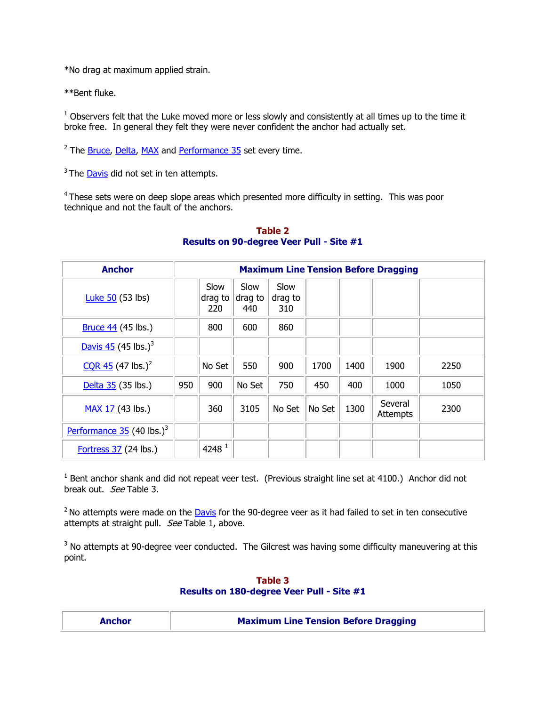\*No drag at maximum applied strain.

\*\*Bent fluke.

 $1$  Observers felt that the Luke moved more or less slowly and consistently at all times up to the time it broke free. In general they felt they were never confident the anchor had actually set.

<sup>2</sup> The **Bruce, Delta, MAX** and Performance 35 set every time.

 $3$  The  $Davis$  did not set in ten attempts.

 $4$ These sets were on deep slope areas which presented more difficulty in setting. This was poor technique and not the fault of the anchors.

| <b>Anchor</b>                           |     | <b>Maximum Line Tension Before Dragging</b> |                        |                        |        |      |                     |      |  |  |  |  |
|-----------------------------------------|-----|---------------------------------------------|------------------------|------------------------|--------|------|---------------------|------|--|--|--|--|
| Luke $50$ (53 lbs)                      |     | Slow<br>drag to<br>220                      | Slow<br>drag to<br>440 | Slow<br>drag to<br>310 |        |      |                     |      |  |  |  |  |
| $Bruce 44$ (45 lbs.)                    |     | 800                                         | 600                    | 860                    |        |      |                     |      |  |  |  |  |
| Davis $45$ (45 lbs.) <sup>3</sup>       |     |                                             |                        |                        |        |      |                     |      |  |  |  |  |
| $CQR$ 45 (47 lbs.) <sup>2</sup>         |     | No Set                                      | 550                    | 900                    | 1700   | 1400 | 1900                | 2250 |  |  |  |  |
| Delta 35 (35 lbs.)                      | 950 | 900                                         | No Set                 | 750                    | 450    | 400  | 1000                | 1050 |  |  |  |  |
| MAX 17 (43 lbs.)                        |     | 360                                         | 3105                   | No Set                 | No Set | 1300 | Several<br>Attempts | 2300 |  |  |  |  |
| Performance $35$ (40 lbs.) <sup>3</sup> |     |                                             |                        |                        |        |      |                     |      |  |  |  |  |
| Fortress $37$ (24 lbs.)                 |     | 4248 $1$                                    |                        |                        |        |      |                     |      |  |  |  |  |

## **Table 2 Results on 90-degree Veer Pull - Site #1**

 $<sup>1</sup>$  Bent anchor shank and did not repeat veer test. (Previous straight line set at 4100.) Anchor did not</sup> break out. See Table 3.

 $2$  No attempts were made on the Davis for the 90-degree veer as it had failed to set in ten consecutive attempts at straight pull. See Table 1, above.

 $3$  No attempts at 90-degree veer conducted. The Gilcrest was having some difficulty maneuvering at this point.

# **Table 3 Results on 180-degree Veer Pull - Site #1**

| <b>Maximum Line Tension Before Dragging</b><br><b>Anchor</b> |  |
|--------------------------------------------------------------|--|
|--------------------------------------------------------------|--|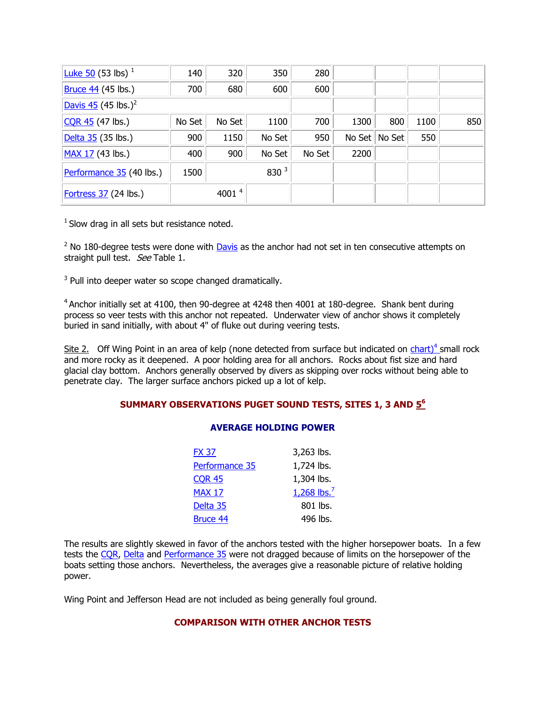| <b>Luke 50</b> (53 lbs) $^{1}$             | 140    | 320               | 350     | 280    |        |        |      |     |
|--------------------------------------------|--------|-------------------|---------|--------|--------|--------|------|-----|
| <b>Bruce 44</b> (45 lbs.)                  | 700    | 680               | 600     | 600    |        |        |      |     |
| $\sqrt{2}$ Davis 45 (45 lbs.) <sup>2</sup> |        |                   |         |        |        |        |      |     |
| $CCR$ 45 (47 lbs.)                         | No Set | No Set            | 1100    | 700    | 1300   | 800    | 1100 | 850 |
| Delta 35 (35 lbs.)                         | 900    | 1150              | No Set  | 950    | No Set | No Set | 550  |     |
| $MAX 17 (43$ lbs.)                         | 400    | 900               | No Set  | No Set | 2200   |        |      |     |
| Performance 35 (40 lbs.)                   | 1500   |                   | 830 $3$ |        |        |        |      |     |
| Fortress $37$ (24 lbs.)                    |        | 4001 <sup>4</sup> |         |        |        |        |      |     |

 $1$  Slow drag in all sets but resistance noted.

 $2$  No 180-degree tests were done with Davis as the anchor had not set in ten consecutive attempts on straight pull test. See Table 1.

 $3$  Pull into deeper water so scope changed dramatically.

<sup>4</sup> Anchor initially set at 4100, then 90-degree at 4248 then 4001 at 180-degree. Shank bent during process so veer tests with this anchor not repeated. Underwater view of anchor shows it completely buried in sand initially, with about 4" of fluke out during veering tests.

Site 2. Off Wing Point in an area of kelp (none detected from surface but indicated on chart)<sup>4</sup> small rock and more rocky as it deepened. A poor holding area for all anchors. Rocks about fist size and hard glacial clay bottom. Anchors generally observed by divers as skipping over rocks without being able to penetrate clay. The larger surface anchors picked up a lot of kelp.

# **SUMMARY OBSERVATIONS PUGET SOUND TESTS, SITES 1, 3 AND [5](http://www.ussailing.org/Safety/Anchor/footnotetoapp.asp#numero seis) 6**

### **AVERAGE HOLDING POWER**

| FX 37          | 3,263 lbs.              |
|----------------|-------------------------|
| Performance 35 | 1,724 lbs.              |
| CQR 45         | 1,304 lbs.              |
| MAX 17         | 1,268 lbs. <sup>7</sup> |
| Delta 35       | 801 lbs.                |
| Bruce 44       | 496 lbs.                |

The results are slightly skewed in favor of the anchors tested with the higher horsepower boats. In a few tests the COR, Delta and Performance 35 were not dragged because of limits on the horsepower of the boats setting those anchors. Nevertheless, the averages give a reasonable picture of relative holding power.

Wing Point and Jefferson Head are not included as being generally foul ground.

# **COMPARISON WITH OTHER ANCHOR TESTS**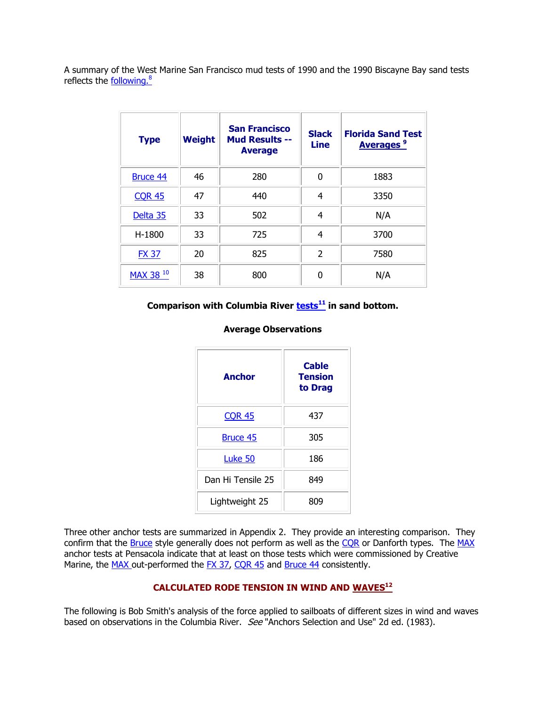A summary of the West Marine San Francisco mud tests of 1990 and the 1990 Biscayne Bay sand tests reflects the **following.**<sup>8</sup>

| <b>Type</b>     | Weight | <b>San Francisco</b><br><b>Mud Results --</b><br><b>Average</b> | <b>Slack</b><br><b>Line</b> | <b>Florida Sand Test</b><br><b>Averages<sup>9</sup></b> |
|-----------------|--------|-----------------------------------------------------------------|-----------------------------|---------------------------------------------------------|
| <b>Bruce 44</b> | 46     | 280                                                             | 0                           | 1883                                                    |
| <b>CQR 45</b>   | 47     | 440                                                             | 4                           | 3350                                                    |
| Delta 35        | 33     | 502                                                             | 4                           | N/A                                                     |
| H-1800          | 33     | 725                                                             | 4                           | 3700                                                    |
| <b>FX 37</b>    | 20     | 825                                                             | $\overline{2}$              | 7580                                                    |
| MAX 38 10       | 38     | 800                                                             | 0                           | N/A                                                     |

# **Comparison with Columbia River [tests](http://www.ussailing.org/Safety/Anchor/footnotetoapp.asp#numero once)<sup>11</sup> in sand bottom.**

## **Average Observations**

| <b>Anchor</b>     | <b>Cable</b><br>Tension<br>to Drag |
|-------------------|------------------------------------|
| <b>CQR 45</b>     | 437                                |
| Bruce 45          | 305                                |
| Luke 50           | 186                                |
| Dan Hi Tensile 25 | 849                                |
| Lightweight 25    | 809                                |

Three other anchor tests are summarized in Appendix 2. They provide an interesting comparison. They confirm that the Bruce style generally does not perform as well as the CQR or Danforth types. The MAX anchor tests at Pensacola indicate that at least on those tests which were commissioned by Creative Marine, the MAX out-performed the FX 37, COR 45 and Bruce 44 consistently.

# **CALCULATED RODE TENSION IN WIND AND [WAVES](http://www.ussailing.org/Safety/Anchor/footnotetoapp.asp#numero dolce)<sup>12</sup>**

The following is Bob Smith's analysis of the force applied to sailboats of different sizes in wind and waves based on observations in the Columbia River. See "Anchors Selection and Use" 2d ed. (1983).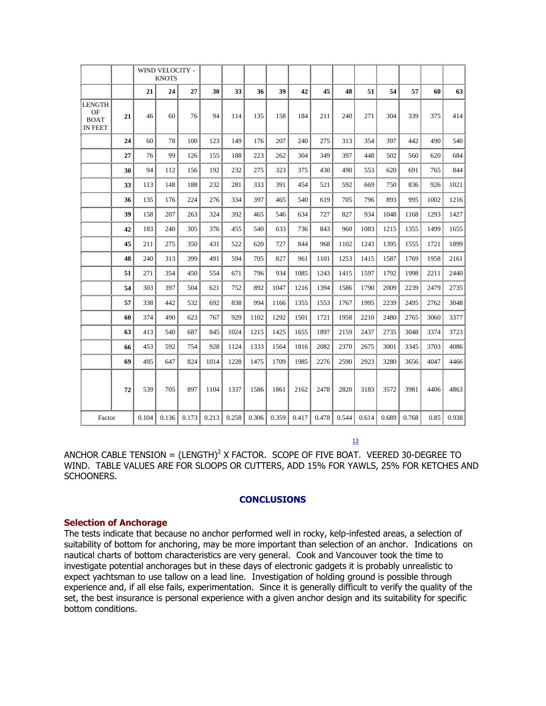|                                                      |    |       | <b>WIND VELOCITY -</b><br><b>KNOTS</b> |       |       |       |       |       |       |       |       |       |       |       |      |       |
|------------------------------------------------------|----|-------|----------------------------------------|-------|-------|-------|-------|-------|-------|-------|-------|-------|-------|-------|------|-------|
|                                                      |    | 21    | 24                                     | 27    | 30    | 33    | 36    | 39    | 42    | 45    | 48    | 51    | 54    | 57    | 60   | 63    |
| <b>LENGTH</b><br>OF<br><b>BOAT</b><br><b>IN FEET</b> | 21 | 46    | 60                                     | 76    | 94    | 114   | 135   | 158   | 184   | 211   | 240   | 271   | 304   | 339   | 375  | 414   |
|                                                      | 24 | 60    | 78                                     | 100   | 123   | 149   | 176   | 207   | 240   | 275   | 313   | 354   | 397   | 442   | 490  | 540   |
|                                                      | 27 | 76    | 99                                     | 126   | 155   | 188   | 223   | 262   | 304   | 349   | 397   | 448   | 502   | 560   | 620  | 684   |
|                                                      | 30 | 94    | 112                                    | 156   | 192   | 232   | 275   | 323   | 375   | 430   | 490   | 553   | 620   | 691   | 765  | 844   |
|                                                      | 33 | 113   | 148                                    | 188   | 232   | 281   | 333   | 391   | 454   | 521   | 592   | 669   | 750   | 836   | 926  | 1021  |
|                                                      | 36 | 135   | 176                                    | 224   | 276   | 334   | 397   | 465   | 540   | 619   | 705   | 796   | 893   | 995   | 1002 | 1216  |
|                                                      | 39 | 158   | 207                                    | 263   | 324   | 392   | 465   | 546   | 634   | 727   | 827   | 934   | 1048  | 1168  | 1293 | 1427  |
|                                                      | 42 | 183   | 240                                    | 305   | 376   | 455   | 540   | 633   | 736   | 843   | 960   | 1083  | 1215  | 1355  | 1499 | 1655  |
|                                                      | 45 | 211   | 275                                    | 350   | 431   | 522   | 620   | 727   | 844   | 968   | 1102  | 1243  | 1395  | 1555  | 1721 | 1899  |
|                                                      | 48 | 240   | 313                                    | 399   | 491   | 594   | 705   | 827   | 961   | 1101  | 1253  | 1415  | 1587  | 1769  | 1958 | 2161  |
|                                                      | 51 | 271   | 354                                    | 450   | 554   | 671   | 796   | 934   | 1085  | 1243  | 1415  | 1597  | 1792  | 1998  | 2211 | 2440  |
|                                                      | 54 | 303   | 397                                    | 504   | 621   | 752   | 892   | 1047  | 1216  | 1394  | 1586  | 1790  | 2009  | 2239  | 2479 | 2735  |
|                                                      | 57 | 338   | 442                                    | 532   | 692   | 838   | 994   | 1166  | 1355  | 1553  | 1767  | 1995  | 2239  | 2495  | 2762 | 3048  |
|                                                      | 60 | 374   | 490                                    | 623   | 767   | 929   | 1102  | 1292  | 1501  | 1721  | 1958  | 2210  | 2480  | 2765  | 3060 | 3377  |
|                                                      | 63 | 413   | 540                                    | 687   | 845   | 1024  | 1215  | 1425  | 1655  | 1897  | 2159  | 2437  | 2735  | 3048  | 3374 | 3723  |
|                                                      | 66 | 453   | 592                                    | 754   | 928   | 1124  | 1333  | 1564  | 1816  | 2082  | 2370  | 2675  | 3001  | 3345  | 3703 | 4086  |
|                                                      | 69 | 495   | 647                                    | 824   | 1014  | 1228  | 1475  | 1709  | 1985  | 2276  | 2590  | 2923  | 3280  | 3656  | 4047 | 4466  |
|                                                      | 72 | 539   | 705                                    | 897   | 1104  | 1337  | 1586  | 1861  | 2162  | 2478  | 2820  | 3183  | 3572  | 3981  | 4406 | 4863  |
| Factor                                               |    | 0.104 | 0.136                                  | 0.173 | 0.213 | 0.258 | 0.306 | 0.359 | 0.417 | 0.478 | 0.544 | 0.614 | 0.689 | 0.768 | 0.85 | 0.938 |

 $13$ 

ANCHOR CABLE TENSION =  $(LENGTH)^2$  X FACTOR. SCOPE OF FIVE BOAT. VEERED 30-DEGREE TO WIND. TABLE VALUES ARE FOR SLOOPS OR CUTTERS, ADD 15% FOR YAWLS, 25% FOR KETCHES AND SCHOONERS.

### **CONCLUSIONS**

#### **Selection of Anchorage**

The tests indicate that because no anchor performed well in rocky, kelp-infested areas, a selection of suitability of bottom for anchoring, may be more important than selection of an anchor. Indications on nautical charts of bottom characteristics are very general. Cook and Vancouver took the time to investigate potential anchorages but in these days of electronic gadgets it is probably unrealistic to expect yachtsman to use tallow on a lead line. Investigation of holding ground is possible through experience and, if all else fails, experimentation. Since it is generally difficult to verify the quality of the set, the best insurance is personal experience with a given anchor design and its suitability for specific bottom conditions.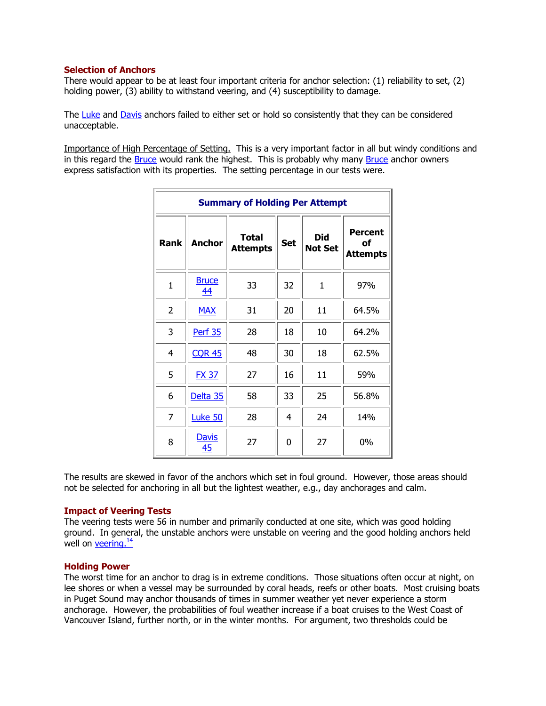## **[Selection of Anchors](http://www.ussailing.org/Safety/Anchor/conclusion.asp#Selection of Anchors)**

There would appear to be at least four important criteria for anchor selection: (1) reliability to set, (2) holding power, (3) ability to withstand veering, and (4) susceptibility to damage.

The Luke and Davis anchors failed to either set or hold so consistently that they can be considered unacceptable.

Importance of High Percentage of Setting. This is a very important factor in all but windy conditions and in this regard the Bruce would rank the highest. This is probably why many Bruce anchor owners express satisfaction with its properties. The setting percentage in our tests were.

|                |                    | <b>Summary of Holding Per Attempt</b> |            |                              |                                         |
|----------------|--------------------|---------------------------------------|------------|------------------------------|-----------------------------------------|
| <b>Rank</b>    | <b>Anchor</b>      | <b>Total</b><br><b>Attempts</b>       | <b>Set</b> | <b>Did</b><br><b>Not Set</b> | <b>Percent</b><br>оf<br><b>Attempts</b> |
| $\mathbf{1}$   | <b>Bruce</b><br>44 | 33                                    | 32         | $\mathbf{1}$                 | 97%                                     |
| $\overline{2}$ | <b>MAX</b>         | 31                                    | 20         | 11                           | 64.5%                                   |
| 3              | <b>Perf 35</b>     | 28                                    | 18         | 10                           | 64.2%                                   |
| 4              | <b>CQR 45</b>      | 48                                    | 30         | 18                           | 62.5%                                   |
| 5              | <b>FX 37</b>       | 27                                    | 16         | 11                           | 59%                                     |
| 6              | Delta 35           | 58                                    | 33         | 25                           | 56.8%                                   |
| 7              | Luke 50            | 28                                    | 4          | 24                           | 14%                                     |
| 8              | <b>Davis</b><br>45 | 27                                    | 0          | 27                           | 0%                                      |

The results are skewed in favor of the anchors which set in foul ground. However, those areas should not be selected for anchoring in all but the lightest weather, e.g., day anchorages and calm.

### **Impact of Veering Tests**

The veering tests were 56 in number and primarily conducted at one site, which was good holding ground. In general, the unstable anchors were unstable on veering and the good holding anchors held well on  $veering.<sup>14</sup>$ </u>

### **Holding Power**

The worst time for an anchor to drag is in extreme conditions. Those situations often occur at night, on lee shores or when a vessel may be surrounded by coral heads, reefs or other boats. Most cruising boats in Puget Sound may anchor thousands of times in summer weather yet never experience a storm anchorage. However, the probabilities of foul weather increase if a boat cruises to the West Coast of Vancouver Island, further north, or in the winter months. For argument, two thresholds could be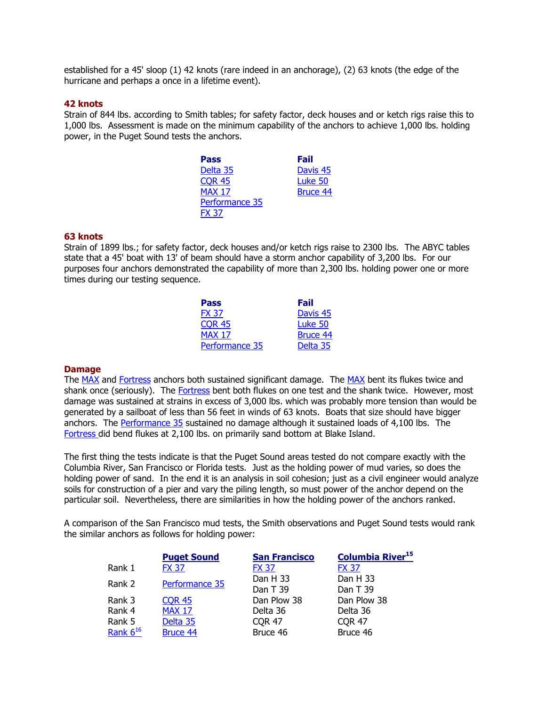established for a 45' sloop (1) 42 knots (rare indeed in an anchorage), (2) 63 knots (the edge of the hurricane and perhaps a once in a lifetime event).

### **42 knots**

Strain of 844 lbs. according to Smith tables; for safety factor, deck houses and or ketch rigs raise this to 1,000 lbs. Assessment is made on the minimum capability of the anchors to achieve 1,000 lbs. holding power, in the Puget Sound tests the anchors.

| Fail                |
|---------------------|
| Davis <sub>45</sub> |
| Luke 50             |
| <b>Bruce 44</b>     |
|                     |
|                     |
|                     |

#### **63 knots**

Strain of 1899 lbs.; for safety factor, deck houses and/or ketch rigs raise to 2300 lbs. The ABYC tables state that a 45' boat with 13' of beam should have a storm anchor capability of 3,200 lbs. For our purposes four anchors demonstrated the capability of more than 2,300 lbs. holding power one or more times during our testing sequence.

| <b>Pass</b>    | Fail                |
|----------------|---------------------|
| <b>FX 37</b>   | Davis <sub>45</sub> |
| <b>COR 45</b>  | Luke 50             |
| <b>MAX 17</b>  | <b>Bruce 44</b>     |
| Performance 35 | Delta 35            |

#### **Damage**

The MAX and Fortress anchors both sustained significant damage. The MAX bent its flukes twice and shank once (seriously). The Fortress bent both flukes on one test and the shank twice. However, most damage was sustained at strains in excess of 3,000 lbs. which was probably more tension than would be generated by a sailboat of less than 56 feet in winds of 63 knots. Boats that size should have bigger anchors. The Performance 35 sustained no damage although it sustained loads of 4,100 lbs. The Fortress did bend flukes at 2,100 lbs. on primarily sand bottom at Blake Island.

The first thing the tests indicate is that the Puget Sound areas tested do not compare exactly with the Columbia River, San Francisco or Florida tests. Just as the holding power of mud varies, so does the holding power of sand. In the end it is an analysis in soil cohesion; just as a civil engineer would analyze soils for construction of a pier and vary the piling length, so must power of the anchor depend on the particular soil. Nevertheless, there are similarities in how the holding power of the anchors ranked.

A comparison of the San Francisco mud tests, the Smith observations and Puget Sound tests would rank the similar anchors as follows for holding power:

|               | <b>Puget Sound</b> | <b>San Francisco</b> | <b>Columbia River<sup>15</sup></b> |
|---------------|--------------------|----------------------|------------------------------------|
| Rank 1        | <b>FX 37</b>       | <b>FX 37</b>         | <b>FX 37</b>                       |
| Rank 2        | Performance 35     | Dan H 33             | Dan H 33                           |
|               |                    | Dan T 39             | Dan T 39                           |
| Rank 3        | <b>COR 45</b>      | Dan Plow 38          | Dan Plow 38                        |
| Rank 4        | <b>MAX 17</b>      | Delta 36             | Delta 36                           |
| Rank 5        | Delta 35           | <b>COR 47</b>        | <b>COR 47</b>                      |
| Rank $6^{16}$ | Bruce 44           | Bruce 46             | Bruce 46                           |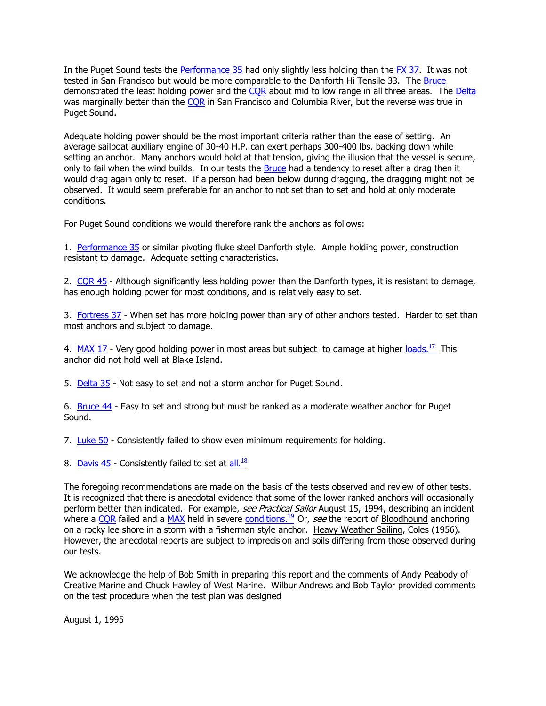In the Puget Sound tests the Performance 35 had only slightly less holding than the FX 37. It was not tested in San Francisco but would be more comparable to the Danforth Hi Tensile 33. The Bruce demonstrated the least holding power and the COR about mid to low range in all three areas. The Delta was marginally better than the CQR in San Francisco and Columbia River, but the reverse was true in Puget Sound.

Adequate holding power should be the most important criteria rather than the ease of setting. An average sailboat auxiliary engine of 30-40 H.P. can exert perhaps 300-400 lbs. backing down while setting an anchor. Many anchors would hold at that tension, giving the illusion that the vessel is secure, only to fail when the wind builds. In our tests the Bruce had a tendency to reset after a drag then it would drag again only to reset. If a person had been below during dragging, the dragging might not be observed. It would seem preferable for an anchor to not set than to set and hold at only moderate conditions.

For Puget Sound conditions we would therefore rank the anchors as follows:

1. Performance 35 or similar pivoting fluke steel Danforth style. Ample holding power, construction resistant to damage. Adequate setting characteristics.

2. COR 45 - Although significantly less holding power than the Danforth types, it is resistant to damage, has enough holding power for most conditions, and is relatively easy to set.

3. Fortress 37 - When set has more holding power than any of other anchors tested. Harder to set than most anchors and subject to damage.

4. [MAX 17](http://www.ussailing.org/Safety/Anchor/appendix_3.asp#MAX 17) - Very good holding power in most areas but subject to damage at higher loads.<sup>17</sup> This anchor did not hold well at Blake Island.

5. Delta 35 - Not easy to set and not a storm anchor for Puget Sound.

6. Bruce 44 - Easy to set and strong but must be ranked as a moderate weather anchor for Puget Sound.

7. Luke  $50$  - Consistently failed to show even minimum requirements for holding.

8. Davis 45 - Consistently failed to set at all.<sup>18</sup>

The foregoing recommendations are made on the basis of the tests observed and review of other tests. It is recognized that there is anecdotal evidence that some of the lower ranked anchors will occasionally perform better than indicated. For example, see Practical Sailor August 15, 1994, describing an incident where a  $CQR$  failed and a  $MAX$  held in severe conditions.<sup>19</sup> Or, see the report of Bloodhound anchoring on a rocky lee shore in a storm with a fisherman style anchor. Heavy Weather Sailing, Coles (1956). However, the anecdotal reports are subject to imprecision and soils differing from those observed during our tests.

We acknowledge the help of Bob Smith in preparing this report and the comments of Andy Peabody of Creative Marine and Chuck Hawley of West Marine. Wilbur Andrews and Bob Taylor provided comments on the test procedure when the test plan was designed

August 1, 1995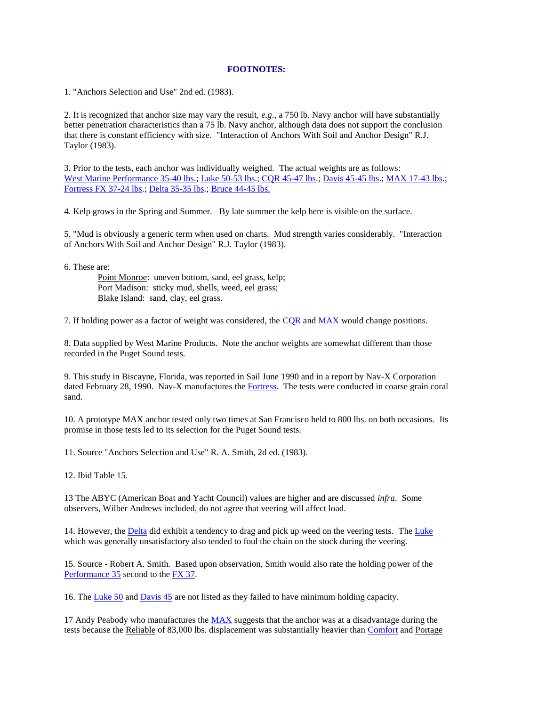#### **FOOTNOTES:**

1. "Anchors Selection and Use" 2nd ed. (1983).

2. It is recognized that anchor size may vary the result, *e.g.*, a 750 lb. Navy anchor will have substantially better penetration characteristics than a 75 lb. Navy anchor, although data does not support the conclusion that there is constant efficiency with size. "Interaction of Anchors With Soil and Anchor Design" R.J. Taylor (1983).

3. Prior to the tests, each anchor was individually weighed. The actual weights are as follows: [West Marine Performance 35-40 lbs.;](http://www.ussailing.org/Safety/Anchor/appendix_3.asp#Performance 35 and Fortress 37) [Luke 50-53 lbs.](http://www.ussailing.org/Safety/Anchor/appendix_3.asp#Luke 50)[; CQR 45-47 lbs.](http://www.ussailing.org/Safety/Anchor/appendix_3.asp#CQR 45); [Davis 45-45 lbs.;](http://www.ussailing.org/Safety/Anchor/appendix_3.asp#Davis 45) [MAX 17-43 lbs.;](http://www.ussailing.org/Safety/Anchor/appendix_3.asp#MAX 17) [Fortress FX 37-24 lbs.](http://www.ussailing.org/Safety/Anchor/appendix_3.asp#Performance 35 and Fortress 37); [Delta 35-35 lbs.](http://www.ussailing.org/Safety/Anchor/appendix_3.asp#Delta 35)[; Bruce 44-45 lbs.](http://www.ussailing.org/Safety/Anchor/appendix_3.asp#Bruce 44)

4. Kelp grows in the Spring and Summer. By late summer the kelp here is visible on the surface.

5. "Mud is obviously a generic term when used on charts. Mud strength varies considerably. "Interaction of Anchors With Soil and Anchor Design" R.J. Taylor (1983).

6. These are:

 Point Monroe: uneven bottom, sand, eel grass, kelp; Port Madison: sticky mud, shells, weed, eel grass; Blake Island: sand, clay, eel grass.

7. If holding power as a factor of weight was considered, the [CQR](http://www.ussailing.org/Safety/Anchor/appendix_3.asp#CQR 45) and [MAX](http://www.ussailing.org/Safety/Anchor/appendix_3.asp#MAX 17) would change positions.

8. Data supplied by West Marine Products. Note the anchor weights are somewhat different than those recorded in the Puget Sound tests.

9. This study in Biscayne, Florida, was reported in Sail June 1990 and in a report by Nav-X Corporation dated February 28, 1990. Nav-X manufactures the [Fortress.](http://www.ussailing.org/Safety/Anchor/appendix_3.asp#Performance 35 and Fortress 37) The tests were conducted in coarse grain coral sand.

10. A prototype MAX anchor tested only two times at San Francisco held to 800 lbs. on both occasions. Its promise in those tests led to its selection for the Puget Sound tests.

11. Source "Anchors Selection and Use" R. A. Smith, 2d ed. (1983).

12. Ibid Table 15.

13 The ABYC (American Boat and Yacht Council) values are higher and are discussed *infra*. Some observers, Wilber Andrews included, do not agree that veering will affect load.

14. However, the [Delta](http://www.ussailing.org/Safety/Anchor/appendix_3.asp#Delta 35) did exhibit a tendency to drag and pick up weed on the veering tests. The [Luke](http://www.ussailing.org/Safety/Anchor/appendix_3.asp#Luke 50) which was generally unsatisfactory also tended to foul the chain on the stock during the veering.

15. Source - Robert A. Smith. Based upon observation, Smith would also rate the holding power of the [Performance 35](http://www.ussailing.org/Safety/Anchor/appendix_3.asp#Performance 35 and Fortress 37) second to the [FX 37.](http://www.ussailing.org/Safety/Anchor/appendix_3.asp#Performance 35 and Fortress 37)

16. The [Luke 50](http://www.ussailing.org/Safety/Anchor/appendix_3.asp#Luke 50) an[d Davis 45](http://www.ussailing.org/Safety/Anchor/appendix_3.asp#Davis 45) are not listed as they failed to have minimum holding capacity.

17 Andy Peabody who manufactures the [MAX](http://www.ussailing.org/Safety/Anchor/appendix_3.asp#MAX 17) suggests that the anchor was at a disadvantage during the tests because the Reliable of 83,000 lbs. displacement was substantially heavier than [Comfort](http://www.ussailing.org/Safety/Anchor/appendix_3.asp#Comfort 34) and Portage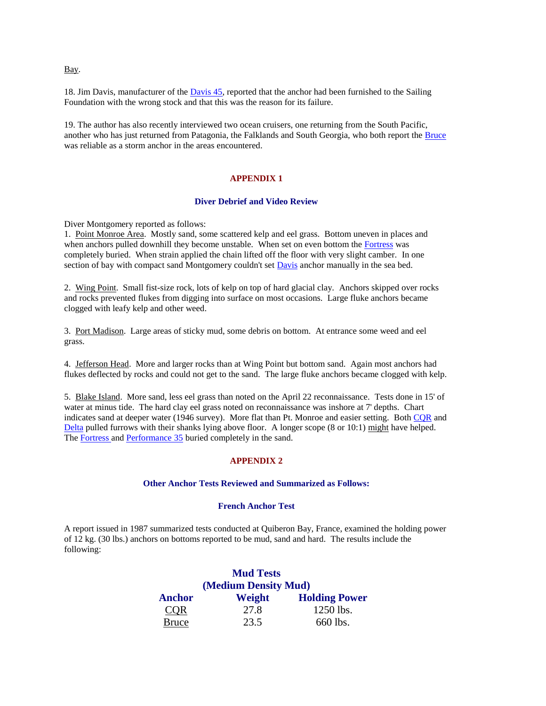Bay.

18. Jim Davis, manufacturer of the [Davis 45,](http://www.ussailing.org/Safety/Anchor/appendix_3.asp#Davis 45) reported that the anchor had been furnished to the Sailing Foundation with the wrong stock and that this was the reason for its failure.

19. The author has also recently interviewed two ocean cruisers, one returning from the South Pacific, another who has just returned from Patagonia, the Falklands and South Georgia, who both report the [Bruce](http://www.ussailing.org/Safety/Anchor/appendix_3.asp#Bruce 44) was reliable as a storm anchor in the areas encountered.

#### **APPENDIX 1**

#### **Diver Debrief and Video Review**

Diver Montgomery reported as follows:

1. Point Monroe Area. Mostly sand, some scattered kelp and eel grass. Bottom uneven in places and when anchors pulled downhill they become unstable. When set on even bottom the [Fortress](http://www.ussailing.org/Safety/Anchor/appendix_3.asp#Performance 35 and Fortress 37) was completely buried. When strain applied the chain lifted off the floor with very slight camber. In one section of bay with compact sand Montgomery couldn't set **Davis** anchor manually in the sea bed.

2. Wing Point. Small fist-size rock, lots of kelp on top of hard glacial clay. Anchors skipped over rocks and rocks prevented flukes from digging into surface on most occasions. Large fluke anchors became clogged with leafy kelp and other weed.

3. Port Madison. Large areas of sticky mud, some debris on bottom. At entrance some weed and eel grass.

4. Jefferson Head. More and larger rocks than at Wing Point but bottom sand. Again most anchors had flukes deflected by rocks and could not get to the sand. The large fluke anchors became clogged with kelp.

5. Blake Island. More sand, less eel grass than noted on the April 22 reconnaissance. Tests done in 15' of water at minus tide. The hard clay eel grass noted on reconnaissance was inshore at 7' depths. Chart indicates sand at deeper water (1946 survey). More flat than Pt. Monroe and easier setting. Both [CQR](http://www.ussailing.org/Safety/Anchor/appendix_3.asp#CQR 45) and [Delta](http://www.ussailing.org/Safety/Anchor/appendix_3.asp#Delta 35) pulled furrows with their shanks lying above floor. A longer scope (8 or 10:1) might have helped. The [Fortress a](http://www.ussailing.org/Safety/Anchor/appendix_3.asp#Performance 35 and Fortress 37)n[d Performance 35](http://www.ussailing.org/Safety/Anchor/appendix_3.asp#Performance 35 and Fortress 37) buried completely in the sand.

#### **APPENDIX 2**

#### **Other Anchor Tests Reviewed and Summarized as Follows:**

#### **French Anchor Test**

A report issued in 1987 summarized tests conducted at Quiberon Bay, France, examined the holding power of 12 kg. (30 lbs.) anchors on bottoms reported to be mud, sand and hard. The results include the following:

|                      | <b>Mud Tests</b> |                      |  |
|----------------------|------------------|----------------------|--|
| (Medium Density Mud) |                  |                      |  |
| <b>Anchor</b>        | Weight           | <b>Holding Power</b> |  |
| <b>COR</b>           | 27.8             | 1250 lbs.            |  |
| <b>Bruce</b>         | 23.5             | 660 lbs.             |  |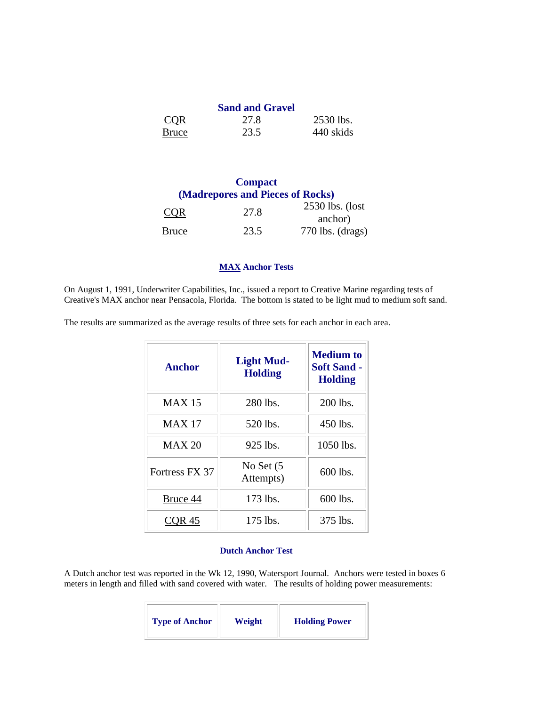|              | <b>Sand and Gravel</b> |           |
|--------------|------------------------|-----------|
| <b>COR</b>   | 27.8                   | 2530 lbs. |
| <b>Bruce</b> | 23.5                   | 440 skids |

# **Compact (Madrepores and Pieces of Rocks)**  $CQR$  27.8 2530 lbs. (lost anchor) [Bruce](http://www.ussailing.org/Safety/Anchor/appendix_3.asp#Bruce 44) 23.5 770 lbs. (drags)

#### **[MAX](http://www.ussailing.org/Safety/Anchor/appendix_3.asp#MAX 17) Anchor Tests**

On August 1, 1991, Underwriter Capabilities, Inc., issued a report to Creative Marine regarding tests of Creative's MAX anchor near Pensacola, Florida. The bottom is stated to be light mud to medium soft sand.

The results are summarized as the average results of three sets for each anchor in each area.

| <b>Anchor</b>  | <b>Light Mud-</b><br><b>Holding</b> | <b>Medium</b> to<br><b>Soft Sand -</b><br><b>Holding</b> |
|----------------|-------------------------------------|----------------------------------------------------------|
| <b>MAX</b> 15  | 280 lbs.                            | 200 lbs.                                                 |
| MAX 17         | 520 lbs.                            | 450 lbs.                                                 |
| <b>MAX 20</b>  | 925 lbs.                            | 1050 lbs.                                                |
| Fortress FX 37 | No Set (5<br>Attempts)              | 600 lbs.                                                 |
| Bruce 44       | 173 lbs.                            | 600 lbs.                                                 |
| COR 45         | 175 lbs.                            | 375 lbs.                                                 |

#### **Dutch Anchor Test**

A Dutch anchor test was reported in the Wk 12, 1990, Watersport Journal. Anchors were tested in boxes 6 meters in length and filled with sand covered with water. The results of holding power measurements:

| <b>Type of Anchor</b> | Weight | <b>Holding Power</b> |
|-----------------------|--------|----------------------|
|-----------------------|--------|----------------------|